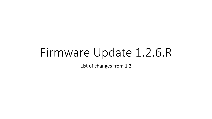# Firmware Update 1.2.6.R

List of changes from 1.2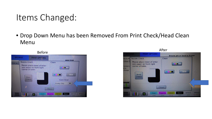# Items Changed:

• Drop Down Menu has been Removed From Print Check/Head Clean Menu



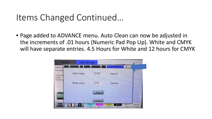### Items Changed Continued…

• Page added to ADVANCE menu. Auto Clean can now be adjusted in the increments of .01 hours (Numeric Pad Pop Up). White and CMYK will have separate entries. 4.5 Hours for White and 12 hours for CMYK

| <b>BROWSE</b>                                |                     | <b>PRINT OPTIONS</b> |                 |                | <b>COOS SARLING</b>    |                       |                |
|----------------------------------------------|---------------------|----------------------|-----------------|----------------|------------------------|-----------------------|----------------|
| otion.<br>Copies to                          | <b>MStation</b>     | Power                | Calibrate       |                | <b>Auto Head Clean</b> |                       |                |
| Top Offse<br>Dimensio<br>Quality<br>Dot Rang | <b>CMYK Clean:</b>  |                      | 12.00           |                | hour(s)                |                       |                |
|                                              | <b>White Clean:</b> |                      | 4.50            | x              | hour(s)                |                       |                |
|                                              |                     |                      | Save<br>Close   |                |                        |                       |                |
|                                              |                     | Cyan<br>GOOD         | Magenta<br>GOOD | Yellow<br>GOOD | Black<br>GOOD          | <b>White1</b><br>GOOD | White2<br>GOOD |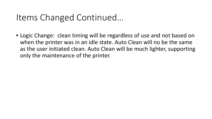### Items Changed Continued…

• Logic Change: clean timing will be regardless of use and not based on when the printer was in an idle state. Auto Clean will no be the same as the user initiated clean. Auto Clean will be much lighter, supporting only the maintenance of the printer.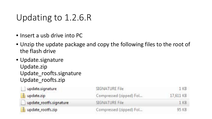# Updating to 1.2.6.R

- Insert a usb drive into PC
- Unzip the update package and copy the following files to the root of the flash drive
- Update.signature Update.zip Update roofts.signature Update\_roofts.zip

| update.signature        | SIGNATURE File          | -1 KB     |
|-------------------------|-------------------------|-----------|
| update.zip              | Compressed (zipped) Fol | 17,611 KB |
| update_rootfs.signature | SIGNATURE File          | 1 KB      |
| update_rootfs.zip       | Compressed (zipped) Fol | 95 KB     |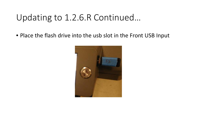# Updating to 1.2.6.R Continued…

• Place the flash drive into the usb slot in the Front USB Input

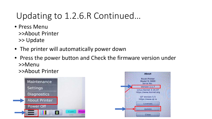# Updating to 1.2.6.R Continued…

- Press Menu >>About Printer >> Update
- The printer will automatically power down
- Press the power button and Check the firmware version under >>Menu
	- >>About Printer